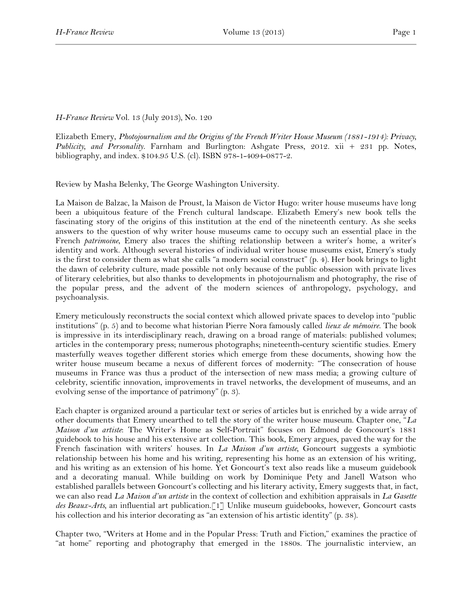## *H-France Review* Vol. 13 (July 2013), No. 120

Elizabeth Emery, *Photojournalism and the Origins of the French Writer House Museum (1881-1914): Privacy, Publicity, and Personality*. Farnham and Burlington: Ashgate Press, 2012. xii + 231 pp. Notes, bibliography, and index. \$104.95 U.S. (cl). ISBN 978-1-4094-0877-2.

Review by Masha Belenky, The George Washington University.

La Maison de Balzac, la Maison de Proust, la Maison de Victor Hugo: writer house museums have long been a ubiquitous feature of the French cultural landscape. Elizabeth Emery's new book tells the fascinating story of the origins of this institution at the end of the nineteenth century. As she seeks answers to the question of why writer house museums came to occupy such an essential place in the French *patrimoine*, Emery also traces the shifting relationship between a writer's home, a writer's identity and work. Although several histories of individual writer house museums exist, Emery's study is the first to consider them as what she calls "a modern social construct" (p. 4). Her book brings to light the dawn of celebrity culture, made possible not only because of the public obsession with private lives of literary celebrities, but also thanks to developments in photojournalism and photography, the rise of the popular press, and the advent of the modern sciences of anthropology, psychology, and psychoanalysis.

Emery meticulously reconstructs the social context which allowed private spaces to develop into "public institutions" (p. 5) and to become what historian Pierre Nora famously called *lieux de mémoire*. The book is impressive in its interdisciplinary reach, drawing on a broad range of materials: published volumes; articles in the contemporary press; numerous photographs; nineteenth-century scientific studies. Emery masterfully weaves together different stories which emerge from these documents, showing how the writer house museum became a nexus of different forces of modernity: "The consecration of house museums in France was thus a product of the intersection of new mass media; a growing culture of celebrity, scientific innovation, improvements in travel networks, the development of museums, and an evolving sense of the importance of patrimony" (p. 3).

Each chapter is organized around a particular text or series of articles but is enriched by a wide array of other documents that Emery unearthed to tell the story of the writer house museum. Chapter one, "*La Maison d'un artiste*: The Writer's Home as Self-Portrait" focuses on Edmond de Goncourt's 1881 guidebook to his house and his extensive art collection. This book, Emery argues, paved the way for the French fascination with writers' houses. In *La Maison d'un artiste,* Goncourt suggests a symbiotic relationship between his home and his writing, representing his home as an extension of his writing, and his writing as an extension of his home. Yet Goncourt's text also reads like a museum guidebook and a decorating manual. While building on work by Dominique Pety and Janell Watson who established parallels between Goncourt's collecting and his literary activity, Emery suggests that, in fact, we can also read *La Maison d'un artiste* in the context of collection and exhibition appraisals in *La Gasette des Beaux-Arts,* an influential art publication.[1] Unlike museum guidebooks, however, Goncourt casts his collection and his interior decorating as "an extension of his artistic identity" (p. 38).

Chapter two, "Writers at Home and in the Popular Press: Truth and Fiction," examines the practice of "at home" reporting and photography that emerged in the 1880s. The journalistic interview, an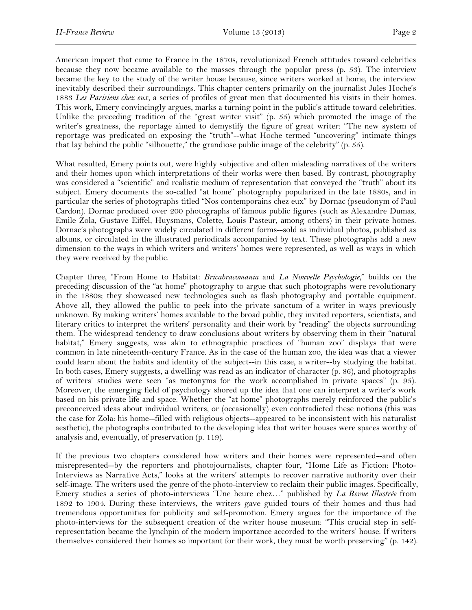American import that came to France in the 1870s, revolutionized French attitudes toward celebrities because they now became available to the masses through the popular press (p. 53). The interview became the key to the study of the writer house because, since writers worked at home, the interview inevitably described their surroundings. This chapter centers primarily on the journalist Jules Hoche's 1883 *Les Parisiens chez eux*, a series of profiles of great men that documented his visits in their homes. This work, Emery convincingly argues, marks a turning point in the public's attitude toward celebrities. Unlike the preceding tradition of the "great writer visit" (p. 55) which promoted the image of the writer's greatness, the reportage aimed to demystify the figure of great writer: "The new system of reportage was predicated on exposing the "truth"--what Hoche termed "uncovering" intimate things that lay behind the public "silhouette," the grandiose public image of the celebrity" (p. 55).

What resulted, Emery points out, were highly subjective and often misleading narratives of the writers and their homes upon which interpretations of their works were then based. By contrast, photography was considered a "scientific" and realistic medium of representation that conveyed the "truth" about its subject. Emery documents the so-called "at home" photography popularized in the late 1880s, and in particular the series of photographs titled "Nos contemporains chez eux" by Dornac (pseudonym of Paul Cardon). Dornac produced over 200 photographs of famous public figures (such as Alexandre Dumas, Emile Zola, Gustave Eiffel, Huysmans, Colette, Louis Pasteur, among others) in their private homes. Dornac's photographs were widely circulated in different forms--sold as individual photos, published as albums, or circulated in the illustrated periodicals accompanied by text. These photographs add a new dimension to the ways in which writers and writers' homes were represented, as well as ways in which they were received by the public.

Chapter three, "From Home to Habitat: *Bricabracomania* and *La Nouvelle Psychologie*," builds on the preceding discussion of the "at home" photography to argue that such photographs were revolutionary in the 1880s; they showcased new technologies such as flash photography and portable equipment. Above all, they allowed the public to peek into the private sanctum of a writer in ways previously unknown. By making writers' homes available to the broad public, they invited reporters, scientists, and literary critics to interpret the writers' personality and their work by "reading" the objects surrounding them. The widespread tendency to draw conclusions about writers by observing them in their "natural habitat," Emery suggests, was akin to ethnographic practices of "human zoo" displays that were common in late nineteenth-century France. As in the case of the human zoo, the idea was that a viewer could learn about the habits and identity of the subject--in this case, a writer--by studying the habitat. In both cases, Emery suggests, a dwelling was read as an indicator of character (p. 86), and photographs of writers' studies were seen "as metonyms for the work accomplished in private spaces" (p. 95). Moreover, the emerging field of psychology shored up the idea that one can interpret a writer's work based on his private life and space. Whether the "at home" photographs merely reinforced the public's preconceived ideas about individual writers, or (occasionally) even contradicted these notions (this was the case for Zola: his home--filled with religious objects--appeared to be inconsistent with his naturalist aesthetic), the photographs contributed to the developing idea that writer houses were spaces worthy of analysis and, eventually, of preservation (p. 119).

If the previous two chapters considered how writers and their homes were represented--and often misrepresented--by the reporters and photojournalists, chapter four, "Home Life as Fiction: Photo-Interviews as Narrative Acts," looks at the writers' attempts to recover narrative authority over their self-image. The writers used the genre of the photo-interview to reclaim their public images. Specifically, Emery studies a series of photo-interviews "Une heure chez…" published by *La Revue Illustrée* from 1892 to 1904. During these interviews, the writers gave guided tours of their homes and thus had tremendous opportunities for publicity and self-promotion. Emery argues for the importance of the photo-interviews for the subsequent creation of the writer house museum: "This crucial step in selfrepresentation became the lynchpin of the modern importance accorded to the writers' house. If writers themselves considered their homes so important for their work, they must be worth preserving" (p. 142).